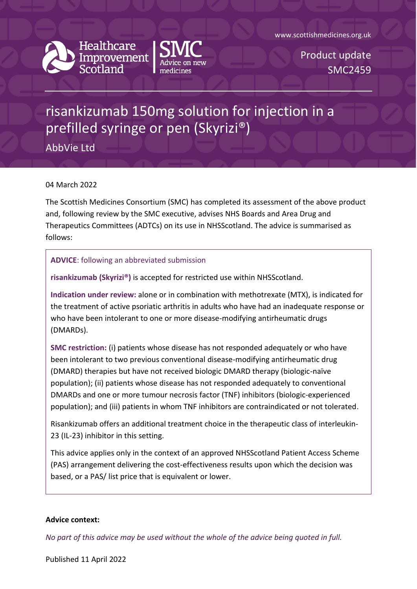

**Healthcare** Improvement



www.scottishmedicines.org.uk

Product update SMC2459

## risankizumab 150mg solution for injection in a prefilled syringe or pen (Skyrizi®)

AbbVie Ltd

## 04 March 2022

The Scottish Medicines Consortium (SMC) has completed its assessment of the above product and, following review by the SMC executive, advises NHS Boards and Area Drug and Therapeutics Committees (ADTCs) on its use in NHSScotland. The advice is summarised as follows:

## **ADVICE**: following an abbreviated submission

**risankizumab (Skyrizi®)** is accepted for restricted use within NHSScotland.

**Indication under review:** alone or in combination with methotrexate (MTX), is indicated for the treatment of active psoriatic arthritis in adults who have had an inadequate response or who have been intolerant to one or more disease-modifying antirheumatic drugs (DMARDs).

**SMC restriction:** (i) patients whose disease has not responded adequately or who have been intolerant to two previous conventional disease-modifying antirheumatic drug (DMARD) therapies but have not received biologic DMARD therapy (biologic-naïve population); (ii) patients whose disease has not responded adequately to conventional DMARDs and one or more tumour necrosis factor (TNF) inhibitors (biologic-experienced population); and (iii) patients in whom TNF inhibitors are contraindicated or not tolerated.

Risankizumab offers an additional treatment choice in the therapeutic class of interleukin-23 (IL-23) inhibitor in this setting.

This advice applies only in the context of an approved NHSScotland Patient Access Scheme (PAS) arrangement delivering the cost-effectiveness results upon which the decision was based, or a PAS/ list price that is equivalent or lower.

## **Advice context:**

*No part of this advice may be used without the whole of the advice being quoted in full.*